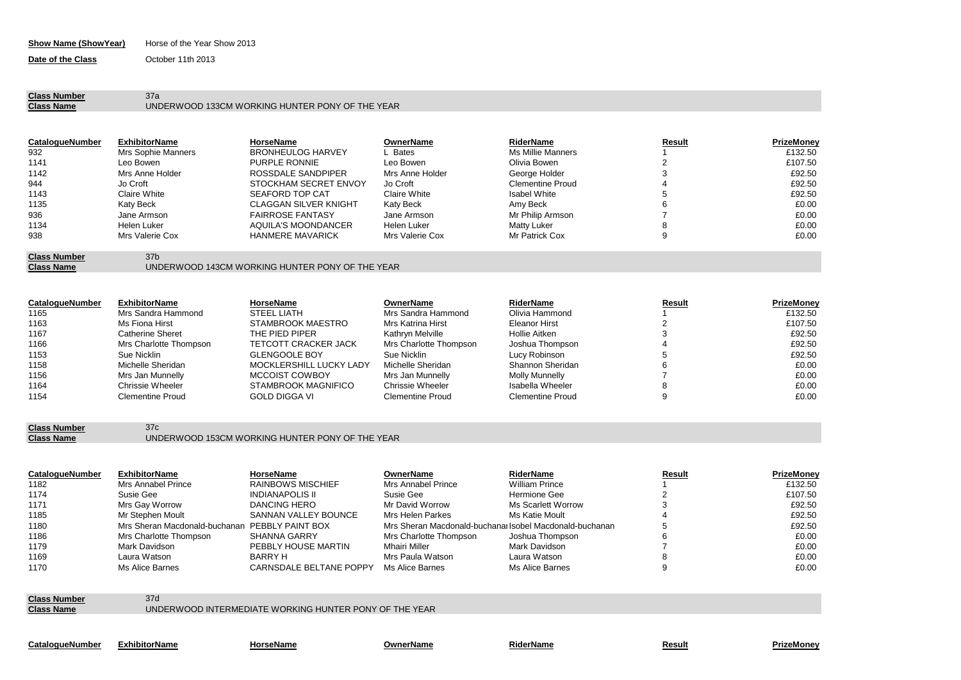## **Show Name (ShowYear)** Horse of the Year Show 2013

**Date of the Class October 11th 2013** 

## **Class Number** 37a<br> **Class Name** UND

## **Class Name** UNDERWOOD 133CM WORKING HUNTER PONY OF THE YEAR

| <b>CatalogueNumber</b> | <b>ExhibitorName</b> | HorseName                    | <b>OwnerName</b> | RiderName               | Result | PrizeMoney |
|------------------------|----------------------|------------------------------|------------------|-------------------------|--------|------------|
| 932                    | Mrs Sophie Manners   | <b>BRONHEULOG HARVEY</b>     | . Bates          | Ms Millie Manners       |        | £132.50    |
| 1141                   | Leo Bowen            | <b>PURPLE RONNIE</b>         | Leo Bowen        | Olivia Bowen            |        | £107.50    |
| 1142                   | Mrs Anne Holder      | ROSSDALE SANDPIPER           | Mrs Anne Holder  | George Holder           | 3      | £92.50     |
| 944                    | Jo Croft             | STOCKHAM SECRET ENVOY        | Jo Croft         | <b>Clementine Proud</b> |        | £92.50     |
| 1143                   | Claire White         | SEAFORD TOP CAT              | Claire White     | <b>Isabel White</b>     | Þ      | £92.50     |
| 1135                   | Katy Beck            | <b>CLAGGAN SILVER KNIGHT</b> | Katy Beck        | Amy Beck                | 6      | £0.00      |
| 936                    | Jane Armson          | <b>FAIRROSE FANTASY</b>      | Jane Armson      | Mr Philip Armson        |        | £0.00      |
| 1134                   | Helen Luker          | AQUILA'S MOONDANCER          | Helen Luker      | Matty Luker             | 8      | £0.00      |
| 938                    | Mrs Valerie Cox      | <b>HANMERE MAVARICK</b>      | Mrs Valerie Cox  | Mr Patrick Cox          | 9      | £0.00      |
| <b>Class Number</b>    | 37 <sub>b</sub>      |                              |                  |                         |        |            |

| Class Name | UNDERWOOD 143CM WORKING HUNTER PONY OF THE YEAR |
|------------|-------------------------------------------------|
|            |                                                 |

| CatalogueNumber | <b>ExhibitorName</b>    | HorseName                  | OwnerName               | RiderName               | Result | <b>PrizeMoney</b> |
|-----------------|-------------------------|----------------------------|-------------------------|-------------------------|--------|-------------------|
| 1165            | Mrs Sandra Hammond      | STEEL LIATH                | Mrs Sandra Hammond      | Olivia Hammond          |        | £132.50           |
| 1163            | Ms Fiona Hirst          | STAMBROOK MAESTRO          | Mrs Katrina Hirst       | Eleanor Hirst           |        | £107.50           |
| 1167            | Catherine Sheret        | THE PIED PIPER             | Kathrvn Melville        | Hollie Aitken           |        | £92.50            |
| 1166            | Mrs Charlotte Thompson  | TETCOTT CRACKER JACK       | Mrs Charlotte Thompson  | Joshua Thompson         |        | £92.50            |
| 1153            | Sue Nicklin             | <b>GLENGOOLE BOY</b>       | Sue Nicklin             | Lucy Robinson           |        | £92.50            |
| 1158            | Michelle Sheridan       | MOCKLERSHILL LUCKY LADY    | Michelle Sheridan       | Shannon Sheridan        |        | £0.00             |
| 1156            | Mrs Jan Munnelly        | MCCOIST COWBOY             | Mrs Jan Munnelly        | <b>Molly Munnelly</b>   |        | £0.00             |
| 1164            | Chrissie Wheeler        | <b>STAMBROOK MAGNIFICO</b> | Chrissie Wheeler        | Isabella Wheeler        |        | £0.00             |
| 1154            | <b>Clementine Proud</b> | <b>GOLD DIGGA VI</b>       | <b>Clementine Proud</b> | <b>Clementine Proud</b> |        | £0.00             |

**Class Number** 37c

**Class Name** UNDERWOOD 153CM WORKING HUNTER PONY OF THE YEAR

| <b>CatalogueNumber</b> | <b>ExhibitorName</b>                           | HorseName                | OwnerName                                               | RiderName             | Result | PrizeMonev |
|------------------------|------------------------------------------------|--------------------------|---------------------------------------------------------|-----------------------|--------|------------|
| 1182                   | Mrs Annabel Prince                             | <b>RAINBOWS MISCHIEF</b> | Mrs Annabel Prince                                      | <b>William Prince</b> |        | £132.50    |
| 1174                   | Susie Gee                                      | <b>INDIANAPOLIS II</b>   | Susie Gee                                               | Hermione Gee          |        | £107.50    |
| 1171                   | Mrs Gay Worrow                                 | <b>DANCING HERO</b>      | Mr David Worrow                                         | Ms Scarlett Worrow    |        | £92.50     |
| 1185                   | Mr Stephen Moult                               | SANNAN VALLEY BOUNCE     | Mrs Helen Parkes                                        | Ms Katie Moult        |        | £92.50     |
| 1180                   | Mrs Sheran Macdonald-buchanan PEBBLY PAINT BOX |                          | Mrs Sheran Macdonald-buchanal Isobel Macdonald-buchanan |                       |        | £92.50     |
| 1186                   | Mrs Charlotte Thompson                         | SHANNA GARRY             | Mrs Charlotte Thompson                                  | Joshua Thompson       |        | £0.00      |
| 1179                   | Mark Davidson                                  | PEBBLY HOUSE MARTIN      | Mhairi Miller                                           | Mark Davidson         |        | £0.00      |
| 1169                   | Laura Watson                                   | BARRY H                  | Mrs Paula Watson                                        | Laura Watson          |        | £0.00      |
| 1170                   | Ms Alice Barnes                                | CARNSDALE BELTANE POPPY  | Ms Alice Barnes                                         | Ms Alice Barnes       |        | £0.00      |
|                        |                                                |                          |                                                         |                       |        |            |

**Class Number** 37d<br> **Class Name** UND

**Class Name** UNDERWOOD INTERMEDIATE WORKING HUNTER PONY OF THE YEAR

**CatalogueNumber OwnerName RiderName**

**ExhibitorName HorseName Result PrizeMoney**